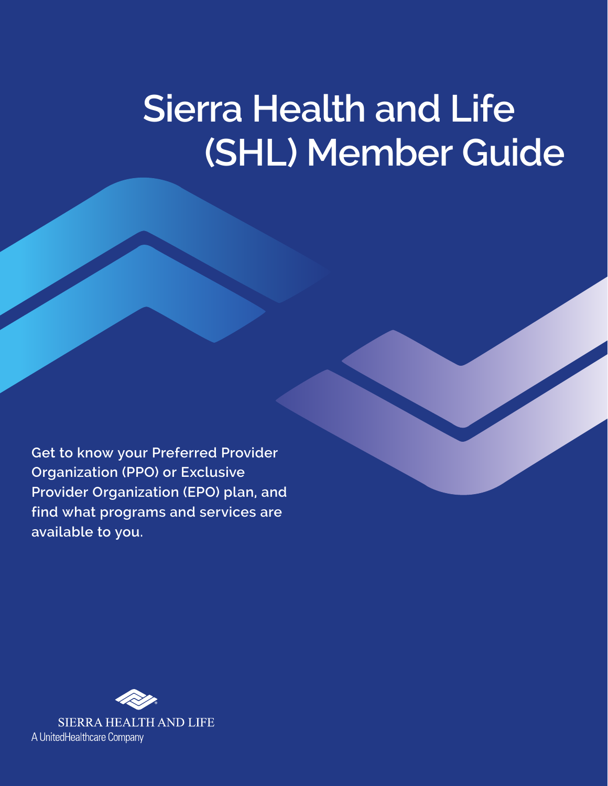# **Sierra Health and Life (SHL) Member Guide**

**Get to know your Preferred Provider Organization (PPO) or Exclusive Provider Organization (EPO) plan, and find what programs and services are available to you.**

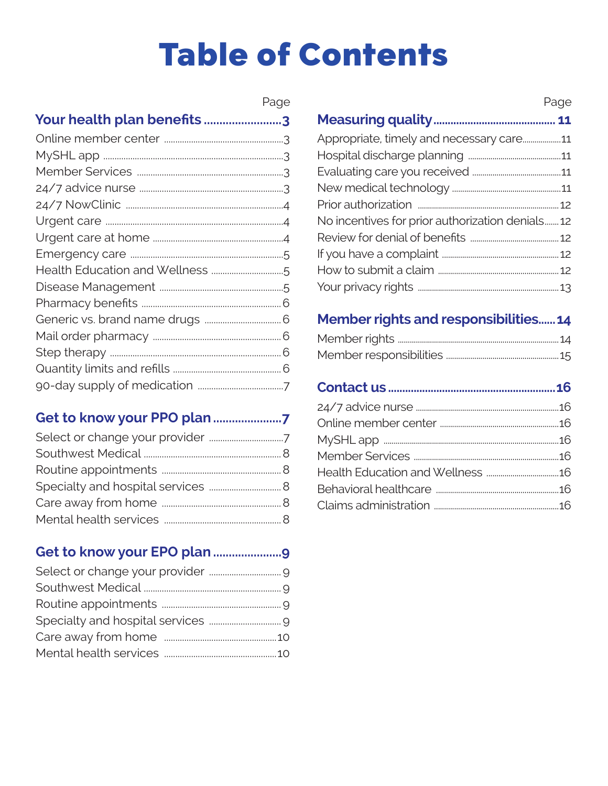# **Table of Contents**

|                            | Page |
|----------------------------|------|
| Your health plan benefits3 |      |
|                            |      |
|                            |      |
|                            |      |
|                            |      |
|                            |      |
|                            |      |
|                            |      |
|                            |      |
|                            |      |
|                            |      |
|                            |      |
|                            |      |
|                            |      |
|                            |      |
|                            |      |
|                            |      |

### 

### 

|                                                 | Page |
|-------------------------------------------------|------|
|                                                 |      |
| Appropriate, timely and necessary care11        |      |
|                                                 |      |
|                                                 |      |
|                                                 |      |
|                                                 |      |
| No incentives for prior authorization denials12 |      |
|                                                 |      |
|                                                 |      |
|                                                 |      |
|                                                 |      |

## Member rights and responsibilities......14

###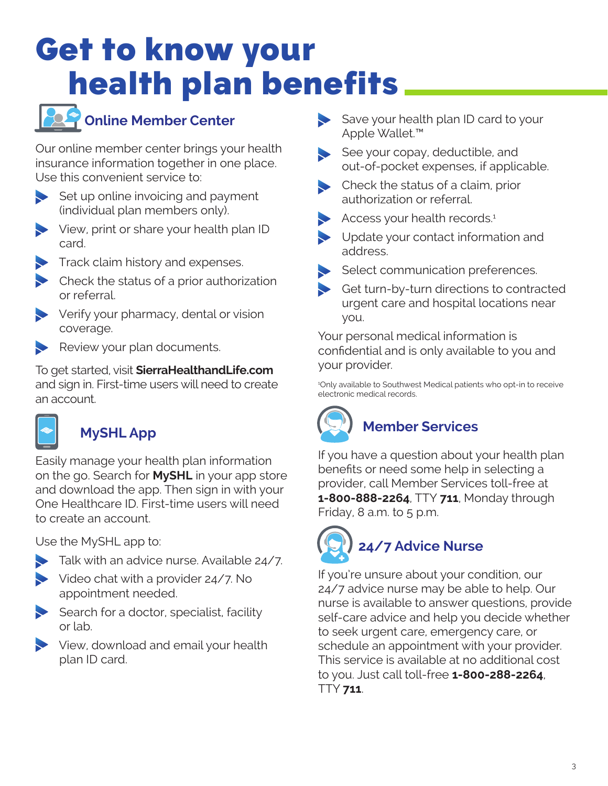## <span id="page-2-0"></span>Get to know your health plan benefits



## **Online Member Center**

Our online member center brings your health insurance information together in one place. Use this convenient service to:

 $\blacktriangleright$  Set up online invoicing and payment (individual plan members only).

- View, print or share your health plan ID card.
- Track claim history and expenses.
- $\blacktriangleright$  Check the status of a prior authorization or referral.
- Verify your pharmacy, dental or vision coverage.
- Review your plan documents.

To get started, visit **[SierraHealthandLife.com](https://www.SierraHealthandLife.com)** and sign in. First-time users will need to create an account.



## **MySHL App**

Easily manage your health plan information on the go. Search for **MySHL** in your app store and download the app. Then sign in with your One Healthcare ID. First-time users will need to create an account.

Use the MySHL app to:

- Talk with an advice nurse. Available 24/7.
- Video chat with a provider 24/7. No appointment needed.
- $\blacktriangleright$  Search for a doctor, specialist, facility or lab.
- View, download and email your health plan ID card.
- Save your health plan ID card to your Apple Wallet.™
- See your copay, deductible, and out-of-pocket expenses, if applicable.
- Check the status of a claim, prior authorization or referral.
- Access your health records.<sup>1</sup>
- Update your contact information and address.
- Select communication preferences.
- Get turn-by-turn directions to contracted urgent care and hospital locations near you.

Your personal medical information is confidential and is only available to you and your provider.

1 Only available to Southwest Medical patients who opt-in to receive electronic medical records.

## **Member Services**

If you have a question about your health plan benefits or need some help in selecting a provider, call Member Services toll-free at **1‑800‑888‑2264**, TTY **711**, Monday through Friday,  $8$  a.m. to  $5$  p.m.

# **24/7 Advice Nurse**

If you're unsure about your condition, our 24/7 advice nurse may be able to help. Our nurse is available to answer questions, provide self-care advice and help you decide whether to seek urgent care, emergency care, or schedule an appointment with your provider. This service is available at no additional cost to you. Just call toll-free **1‑800‑288‑2264**, TTY **711**.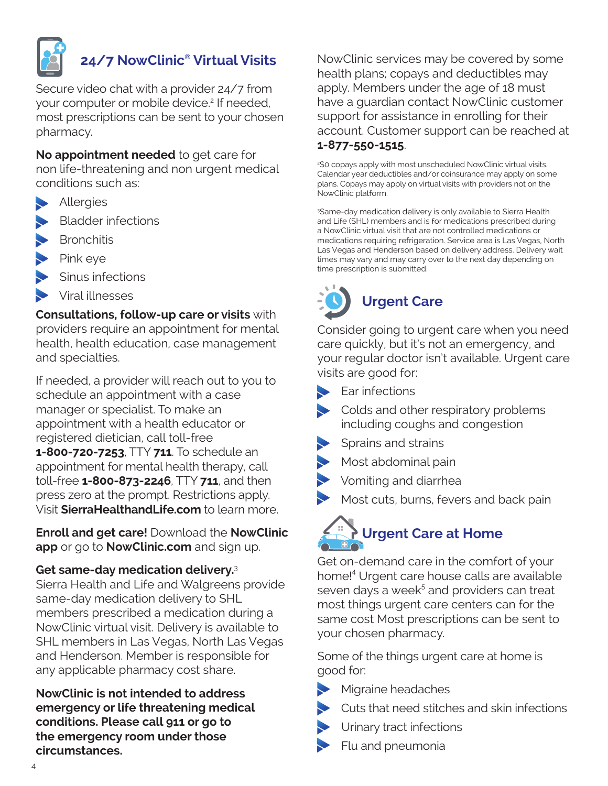<span id="page-3-0"></span>

### **24/7 NowClinic® Virtual Visits**

Secure video chat with a provider 24/7 from your computer or mobile device.<sup>2</sup> If needed, most prescriptions can be sent to your chosen pharmacy.

**No appointment needed** to get care for non life-threatening and non urgent medical conditions such as:

- **Allergies**
- Bladder infections
- Bronchitis
- Pink eye
- Sinus infections
- Viral illnesses

**Consultations, follow-up care or visits** with providers require an appointment for mental health, health education, case management and specialties.

If needed, a provider will reach out to you to schedule an appointment with a case manager or specialist. To make an appointment with a health educator or registered dietician, call toll-free **1‑800‑720‑7253**, TTY **711**. To schedule an appointment for mental health therapy, call toll-free **1‑800‑873‑2246**, TTY **711**, and then press zero at the prompt. Restrictions apply. Visit **[SierraHealthandLife.com](https://www.SierraHealthandLife.com)** to learn more.

**Enroll and get care!** Download the **NowClinic app** or go to **[NowClinic.com](https://nowclinic.com)** and sign up.

#### **Get same-day medication delivery.**<sup>3</sup>

Sierra Health and Life and Walgreens provide same-day medication delivery to SHL members prescribed a medication during a NowClinic virtual visit. Delivery is available to SHL members in Las Vegas, North Las Vegas and Henderson. Member is responsible for any applicable pharmacy cost share.

**NowClinic is not intended to address emergency or life threatening medical conditions. Please call 911 or go to the emergency room under those circumstances.** 

NowClinic services may be covered by some health plans; copays and deductibles may apply. Members under the age of 18 must have a guardian contact NowClinic customer support for assistance in enrolling for their account. Customer support can be reached at **1‑877‑550‑1515**.

2 \$0 copays apply with most unscheduled NowClinic virtual visits. Calendar year deductibles and/or coinsurance may apply on some plans. Copays may apply on virtual visits with providers not on the NowClinic platform.

3 Same-day medication delivery is only available to Sierra Health and Life (SHL) members and is for medications prescribed during a NowClinic virtual visit that are not controlled medications or medications requiring refrigeration. Service area is Las Vegas, North Las Vegas and Henderson based on delivery address. Delivery wait times may vary and may carry over to the next day depending on time prescription is submitted.



Consider going to urgent care when you need care quickly, but it's not an emergency, and your regular doctor isn't available. Urgent care visits are good for:

- $\blacktriangleright$  Ear infections
- colds and other respiratory problems including coughs and congestion
- Sprains and strains
- Most abdominal pain
- Vomiting and diarrhea
- Most cuts, burns, fevers and back pain

## **Urgent Care at Home**

Get on-demand care in the comfort of your home!4 Urgent care house calls are available seven days a wee $k^5$  and providers can treat most things urgent care centers can for the same cost Most prescriptions can be sent to your chosen pharmacy.

Some of the things urgent care at home is good for:

- Migraine headaches
- Cuts that need stitches and skin infections
- Urinary tract infections
- Flu and pneumonia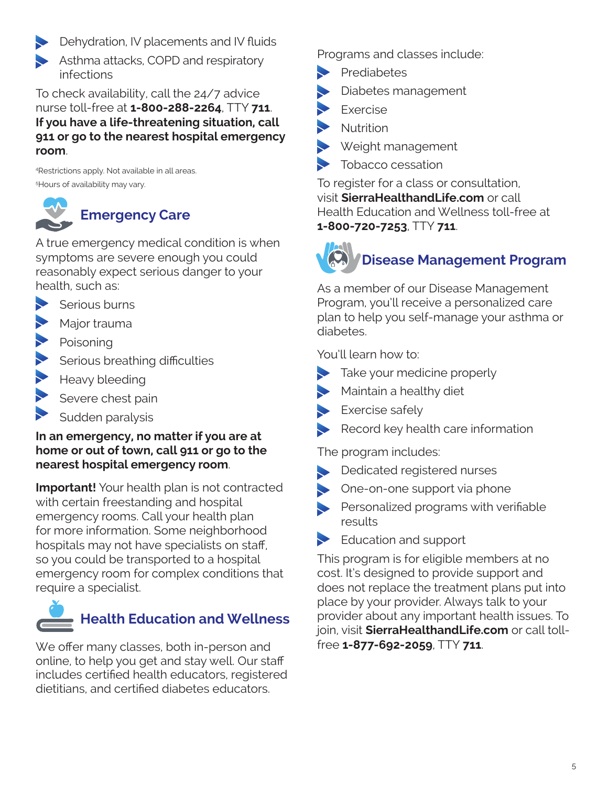<span id="page-4-0"></span>**Dehydration, IV placements and IV fluids** 

Asthma attacks, COPD and respiratory infections

To check availability, call the 24/7 advice nurse toll-free at **1‑800‑288‑2264**, TTY **711**. **If you have a life-threatening situation, call 911 or go to the nearest hospital emergency room**.

4 Restrictions apply. Not available in all areas. 5 Hours of availability may vary.



A true emergency medical condition is when symptoms are severe enough you could reasonably expect serious danger to your health, such as:

- Serious burns
- Major trauma
- Poisoning
- Serious breathing difficulties
- Heavy bleeding
- Severe chest pain
- Sudden paralysis

### **In an emergency, no matter if you are at home or out of town, call 911 or go to the nearest hospital emergency room**.

**Important!** Your health plan is not contracted with certain freestanding and hospital emergency rooms. Call your health plan for more information. Some neighborhood hospitals may not have specialists on staff, so you could be transported to a hospital emergency room for complex conditions that require a specialist.



We offer many classes, both in-person and online, to help you get and stay well. Our staff includes certified health educators, registered dietitians, and certified diabetes educators.

Programs and classes include:

- **Prediabetes**
- Diabetes management
- Exercise
- Nutrition
- Weight management
- Ş Tobacco cessation

To register for a class or consultation, visit **[SierraHealthandLife.com](https://www.SierraHealthandLife.com)** or call Health Education and Wellness toll-free at **1‑800‑720‑7253**, TTY **711**.

## **Disease Management Program**

As a member of our Disease Management Program, you'll receive a personalized care plan to help you self-manage your asthma or diabetes.

You'll learn how to:

- Take your medicine properly
- Maintain a healthy diet
- Exercise safely
- Record key health care information

The program includes:

- Dedicated registered nurses
- One-on-one support via phone
- Personalized programs with verifiable results
- Education and support

This program is for eligible members at no cost. It's designed to provide support and does not replace the treatment plans put into place by your provider. Always talk to your provider about any important health issues. To join, visit **[SierraHealthandLife.com](https://www.SierraHealthandLife.com)** or call tollfree **1‑877‑692‑2059**, TTY **711**.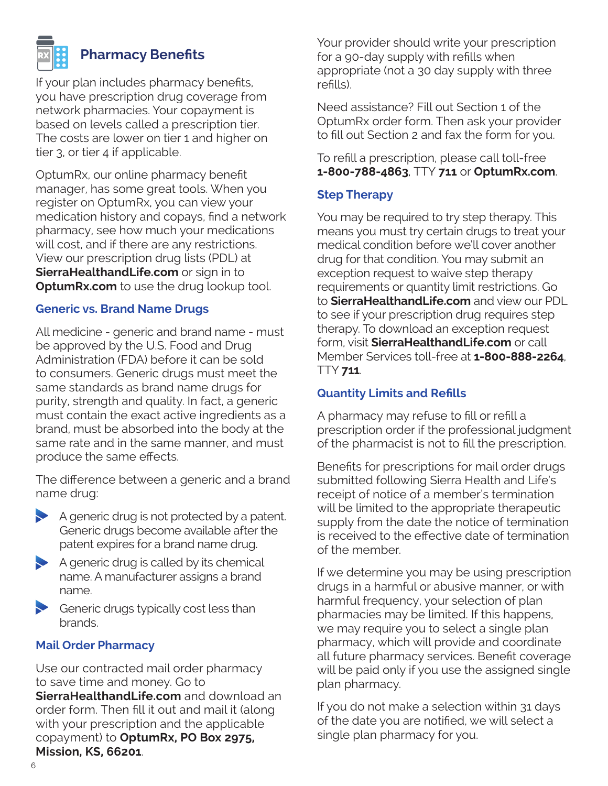<span id="page-5-0"></span>

### **Pharmacy Benefits**

If your plan includes pharmacy benefits, you have prescription drug coverage from network pharmacies. Your copayment is based on levels called a prescription tier. The costs are lower on tier 1 and higher on tier 3, or tier 4 if applicable.

OptumRx, our online pharmacy benefit manager, has some great tools. When you register on OptumRx, you can view your medication history and copays, find a network pharmacy, see how much your medications will cost, and if there are any restrictions. View our prescription drug lists (PDL) at **[SierraHealthandLife.com](https://www.SierraHealthandLife.com)** or sign in to **[OptumRx.com](https://www.optumrx.com)** to use the drug lookup tool.

#### **Generic vs. Brand Name Drugs**

All medicine - generic and brand name - must be approved by the U.S. Food and Drug Administration (FDA) before it can be sold to consumers. Generic drugs must meet the same standards as brand name drugs for purity, strength and quality. In fact, a generic must contain the exact active ingredients as a brand, must be absorbed into the body at the same rate and in the same manner, and must produce the same effects.

The difference between a generic and a brand name drug:



- $\blacktriangleright$  A generic drug is called by its chemical name. A manufacturer assigns a brand name.
- Generic drugs typically cost less than brands.

#### **Mail Order Pharmacy**

Use our contracted mail order pharmacy to save time and money. Go to **[SierraHealthandLife.com](https://www.SierraHealthandLife.com)** and download an order form. Then fill it out and mail it (along with your prescription and the applicable copayment) to **OptumRx, PO Box 2975, Mission, KS, 66201**.

Your provider should write your prescription for a 90-day supply with refills when appropriate (not a 30 day supply with three refills).

Need assistance? Fill out Section 1 of the OptumRx order form. Then ask your provider to fill out Section 2 and fax the form for you.

#### To refill a prescription, please call toll-free **1‑800‑788‑4863**, TTY **711** or **[OptumRx.com](https://www.optumrx.com)**.

#### **Step Therapy**

You may be required to try step therapy. This means you must try certain drugs to treat your medical condition before we'll cover another drug for that condition. You may submit an exception request to waive step therapy requirements or quantity limit restrictions. Go to **[SierraHealthandLife.com](https://www.SierraHealthandLife.com)** and view our PDL to see if your prescription drug requires step therapy. To download an exception request form, visit **[SierraHealthandLife.com](https://www.SierraHealthandLife.com)** or call Member Services toll-free at **1‑800‑888‑2264**, TTY **711**.

### **Quantity Limits and Refills**

A pharmacy may refuse to fill or refill a prescription order if the professional judgment of the pharmacist is not to fill the prescription.

Benefits for prescriptions for mail order drugs submitted following Sierra Health and Life's receipt of notice of a member's termination will be limited to the appropriate therapeutic supply from the date the notice of termination is received to the effective date of termination of the member.

If we determine you may be using prescription drugs in a harmful or abusive manner, or with harmful frequency, your selection of plan pharmacies may be limited. If this happens, we may require you to select a single plan pharmacy, which will provide and coordinate all future pharmacy services. Benefit coverage will be paid only if you use the assigned single plan pharmacy.

If you do not make a selection within 31 days of the date you are notified, we will select a single plan pharmacy for you.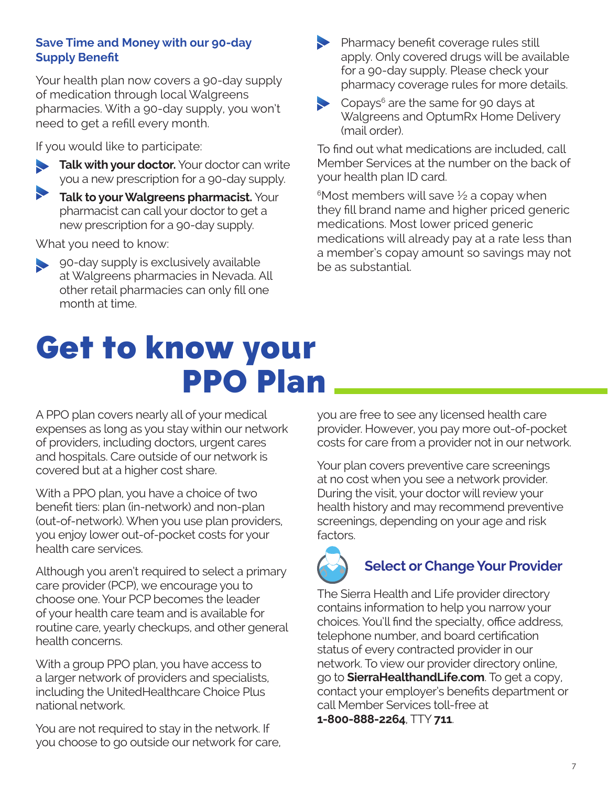### <span id="page-6-0"></span>**Save Time and Money with our 90-day Supply Benefit**

Your health plan now covers a 90-day supply of medication through local Walgreens pharmacies. With a 90-day supply, you won't need to get a refill every month.

If you would like to participate:

- **Talk with your doctor.** Your doctor can write you a new prescription for a 90-day supply.
- **Talk to your Walgreens pharmacist.** Your pharmacist can call your doctor to get a new prescription for a 90-day supply.

What you need to know:

- 90-day supply is exclusively available at Walgreens pharmacies in Nevada. All other retail pharmacies can only fill one month at time.
- Get to know your PPO Plan

A PPO plan covers nearly all of your medical expenses as long as you stay within our network of providers, including doctors, urgent cares and hospitals. Care outside of our network is covered but at a higher cost share.

With a PPO plan, you have a choice of two benefit tiers: plan (in-network) and non-plan (out-of-network). When you use plan providers, you enjoy lower out-of-pocket costs for your health care services.

Although you aren't required to select a primary care provider (PCP), we encourage you to choose one. Your PCP becomes the leader of your health care team and is available for routine care, yearly checkups, and other general health concerns.

With a group PPO plan, you have access to a larger network of providers and specialists, including the UnitedHealthcare Choice Plus national network.

You are not required to stay in the network. If you choose to go outside our network for care, you are free to see any licensed health care

Pharmacy benefit coverage rules still

Copays $^6$  are the same for 90 days at

(mail order).

be as substantial.

your health plan ID card.

apply. Only covered drugs will be available for a 90-day supply. Please check your pharmacy coverage rules for more details.

Walgreens and OptumRx Home Delivery

To find out what medications are included, call Member Services at the number on the back of

medications will already pay at a rate less than a member's copay amount so savings may not

 $6$ Most members will save  $\frac{1}{2}$  a copay when they fill brand name and higher priced generic

medications. Most lower priced generic

provider. However, you pay more out-of-pocket costs for care from a provider not in our network.

Your plan covers preventive care screenings at no cost when you see a network provider. During the visit, your doctor will review your health history and may recommend preventive screenings, depending on your age and risk factors.



### **Select or Change Your Provider**

The Sierra Health and Life provider directory contains information to help you narrow your choices. You'll find the specialty, office address, telephone number, and board certification status of every contracted provider in our network. To view our provider directory online, go to **[SierraHealthandLife.com](https://www.SierraHealthandLife.com)**. To get a copy, contact your employer's benefits department or call Member Services toll-free at **1‑800‑888‑2264**, TTY **711**.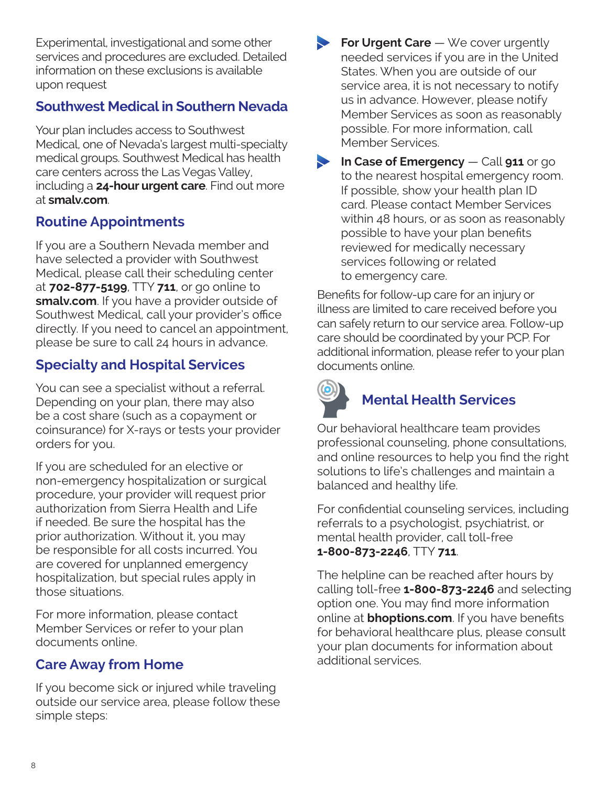<span id="page-7-0"></span>Experimental, investigational and some other services and procedures are excluded. Detailed information on these exclusions is available upon request

### **Southwest Medical in Southern Nevada**

Your plan includes access to Southwest Medical, one of Nevada's largest multi-specialty medical groups. Southwest Medical has health care centers across the Las Vegas Valley, including a **24-hour urgent care**. Find out more at **[smalv.com](https://www.Smalv.com)**.

## **Routine Appointments**

If you are a Southern Nevada member and have selected a provider with Southwest Medical, please call their scheduling center at **702‑877‑5199**, TTY **711**, or go online to **[smalv.com](https://www.Smalv.com)**. If you have a provider outside of Southwest Medical, call your provider's office directly. If you need to cancel an appointment, please be sure to call 24 hours in advance.

## **Specialty and Hospital Services**

You can see a specialist without a referral. Depending on your plan, there may also be a cost share (such as a copayment or coinsurance) for X-rays or tests your provider orders for you.

If you are scheduled for an elective or non-emergency hospitalization or surgical procedure, your provider will request prior authorization from Sierra Health and Life if needed. Be sure the hospital has the prior authorization. Without it, you may be responsible for all costs incurred. You are covered for unplanned emergency hospitalization, but special rules apply in those situations.

For more information, please contact Member Services or refer to your plan documents online.

### **Care Away from Home**

If you become sick or injured while traveling outside our service area, please follow these simple steps:

- **For Urgent Care** We cover urgently needed services if you are in the United States. When you are outside of our service area, it is not necessary to notify us in advance. However, please notify Member Services as soon as reasonably possible. For more information, call Member Services.
- **In Case of Emergency** Call **911** or go to the nearest hospital emergency room. If possible, show your health plan ID card. Please contact Member Services within 48 hours, or as soon as reasonably possible to have your plan benefits reviewed for medically necessary services following or related to emergency care.

Benefits for follow-up care for an injury or illness are limited to care received before you can safely return to our service area. Follow-up care should be coordinated by your PCP. For additional information, please refer to your plan documents online.



## **Mental Health Services**

Our behavioral healthcare team provides professional counseling, phone consultations, and online resources to help you find the right solutions to life's challenges and maintain a balanced and healthy life.

For confidential counseling services, including referrals to a psychologist, psychiatrist, or mental health provider, call toll-free **1‑800‑873‑2246**, TTY **711**.

The helpline can be reached after hours by calling toll-free **1‑800‑873‑2246** and selecting option one. You may find more information online at **[bhoptions.com](https://bhoptions.com)**. If you have benefits for behavioral healthcare plus, please consult your plan documents for information about additional services.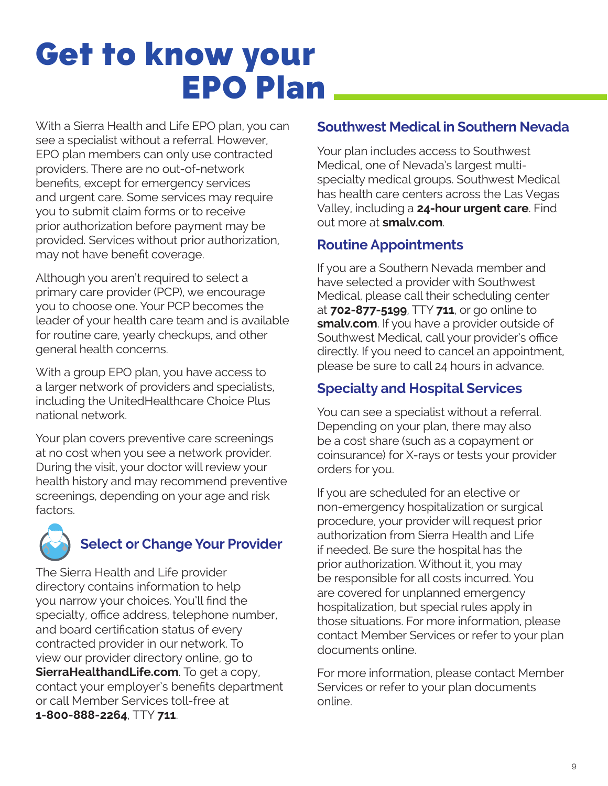## <span id="page-8-0"></span>Get to know your EPO Plan

With a Sierra Health and Life EPO plan, you can see a specialist without a referral. However, EPO plan members can only use contracted providers. There are no out-of-network benefits, except for emergency services and urgent care. Some services may require you to submit claim forms or to receive prior authorization before payment may be provided. Services without prior authorization, may not have benefit coverage.

Although you aren't required to select a primary care provider (PCP), we encourage you to choose one. Your PCP becomes the leader of your health care team and is available for routine care, yearly checkups, and other general health concerns.

With a group EPO plan, you have access to a larger network of providers and specialists, including the UnitedHealthcare Choice Plus national network.

Your plan covers preventive care screenings at no cost when you see a network provider. During the visit, your doctor will review your health history and may recommend preventive screenings, depending on your age and risk factors.



## **Select or Change Your Provider**

The Sierra Health and Life provider directory contains information to help you narrow your choices. You'll find the specialty, office address, telephone number, and board certification status of every contracted provider in our network. To view our provider directory online, go to **[SierraHealthandLife.com](https://www.SierraHealthandLife.com)**. To get a copy, contact your employer's benefits department or call Member Services toll-free at **1‑800‑888‑2264**, TTY **711**.

### **Southwest Medical in Southern Nevada**

Your plan includes access to Southwest Medical, one of Nevada's largest multispecialty medical groups. Southwest Medical has health care centers across the Las Vegas Valley, including a **24-hour urgent care**. Find out more at **[smalv.com](https://www.Smalv.com)**.

### **Routine Appointments**

If you are a Southern Nevada member and have selected a provider with Southwest Medical, please call their scheduling center at **702‑877‑5199**, TTY **711**, or go online to **[smalv.com](https://www.Smalv.com)**. If you have a provider outside of Southwest Medical, call your provider's office directly. If you need to cancel an appointment, please be sure to call 24 hours in advance.

### **Specialty and Hospital Services**

You can see a specialist without a referral. Depending on your plan, there may also be a cost share (such as a copayment or coinsurance) for X-rays or tests your provider orders for you.

If you are scheduled for an elective or non-emergency hospitalization or surgical procedure, your provider will request prior authorization from Sierra Health and Life if needed. Be sure the hospital has the prior authorization. Without it, you may be responsible for all costs incurred. You are covered for unplanned emergency hospitalization, but special rules apply in those situations. For more information, please contact Member Services or refer to your plan documents online.

For more information, please contact Member Services or refer to your plan documents online.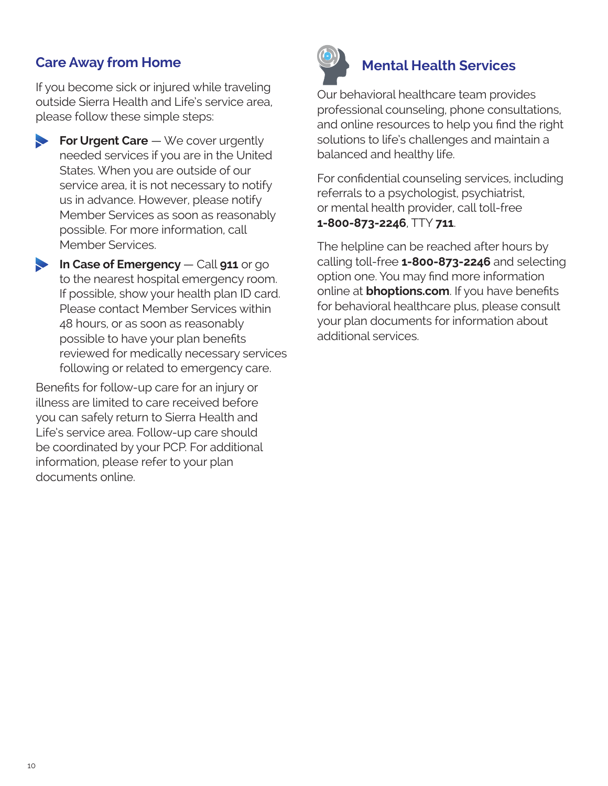### <span id="page-9-0"></span>**Care Away from Home**

If you become sick or injured while traveling outside Sierra Health and Life's service area, please follow these simple steps:

**For Urgent Care** — We cover urgently needed services if you are in the United States. When you are outside of our service area, it is not necessary to notify us in advance. However, please notify Member Services as soon as reasonably possible. For more information, call Member Services.

**In Case of Emergency** — Call **911** or go to the nearest hospital emergency room. If possible, show your health plan ID card. Please contact Member Services within 48 hours, or as soon as reasonably possible to have your plan benefits reviewed for medically necessary services following or related to emergency care.

Benefits for follow-up care for an injury or illness are limited to care received before you can safely return to Sierra Health and Life's service area. Follow-up care should be coordinated by your PCP. For additional information, please refer to your plan documents online.



## **Mental Health Services**

Our behavioral healthcare team provides professional counseling, phone consultations, and online resources to help you find the right solutions to life's challenges and maintain a balanced and healthy life.

For confidential counseling services, including referrals to a psychologist, psychiatrist, or mental health provider, call toll-free **1‑800‑873‑2246**, TTY **711**.

The helpline can be reached after hours by calling toll-free **1‑800‑873‑2246** and selecting option one. You may find more information online at **[bhoptions.com](https://bhoptions.com)**. If you have benefits for behavioral healthcare plus, please consult your plan documents for information about additional services.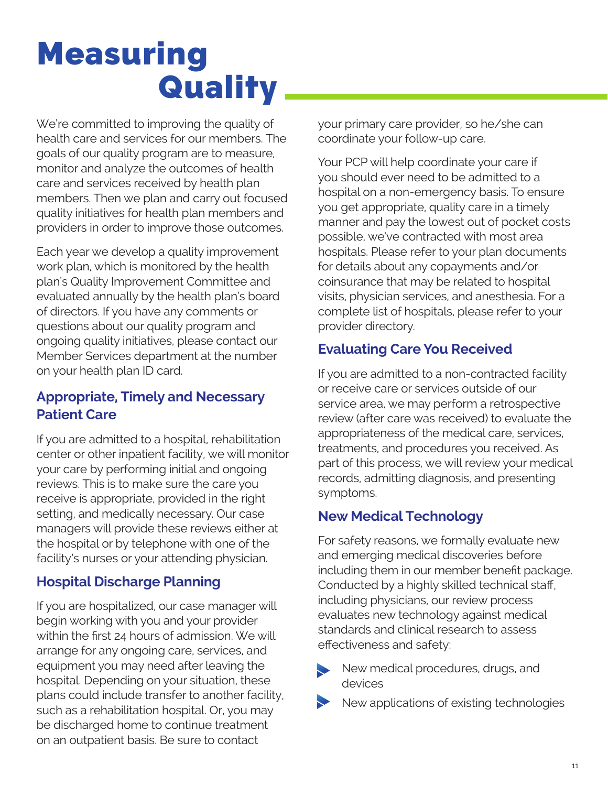## <span id="page-10-0"></span>Measuring **Quality**

We're committed to improving the quality of health care and services for our members. The goals of our quality program are to measure, monitor and analyze the outcomes of health care and services received by health plan members. Then we plan and carry out focused quality initiatives for health plan members and providers in order to improve those outcomes.

Each year we develop a quality improvement work plan, which is monitored by the health plan's Quality Improvement Committee and evaluated annually by the health plan's board of directors. If you have any comments or questions about our quality program and ongoing quality initiatives, please contact our Member Services department at the number on your health plan ID card.

### **Appropriate, Timely and Necessary Patient Care**

If you are admitted to a hospital, rehabilitation center or other inpatient facility, we will monitor your care by performing initial and ongoing reviews. This is to make sure the care you receive is appropriate, provided in the right setting, and medically necessary. Our case managers will provide these reviews either at the hospital or by telephone with one of the facility's nurses or your attending physician.

### **Hospital Discharge Planning**

If you are hospitalized, our case manager will begin working with you and your provider within the first 24 hours of admission. We will arrange for any ongoing care, services, and equipment you may need after leaving the hospital. Depending on your situation, these plans could include transfer to another facility, such as a rehabilitation hospital. Or, you may be discharged home to continue treatment on an outpatient basis. Be sure to contact

your primary care provider, so he/she can coordinate your follow-up care.

Your PCP will help coordinate your care if you should ever need to be admitted to a hospital on a non-emergency basis. To ensure you get appropriate, quality care in a timely manner and pay the lowest out of pocket costs possible, we've contracted with most area hospitals. Please refer to your plan documents for details about any copayments and/or coinsurance that may be related to hospital visits, physician services, and anesthesia. For a complete list of hospitals, please refer to your provider directory.

### **Evaluating Care You Received**

If you are admitted to a non-contracted facility or receive care or services outside of our service area, we may perform a retrospective review (after care was received) to evaluate the appropriateness of the medical care, services, treatments, and procedures you received. As part of this process, we will review your medical records, admitting diagnosis, and presenting symptoms.

### **New Medical Technology**

For safety reasons, we formally evaluate new and emerging medical discoveries before including them in our member benefit package. Conducted by a highly skilled technical staff, including physicians, our review process evaluates new technology against medical standards and clinical research to assess effectiveness and safety:

New medical procedures, drugs, and devices

New applications of existing technologies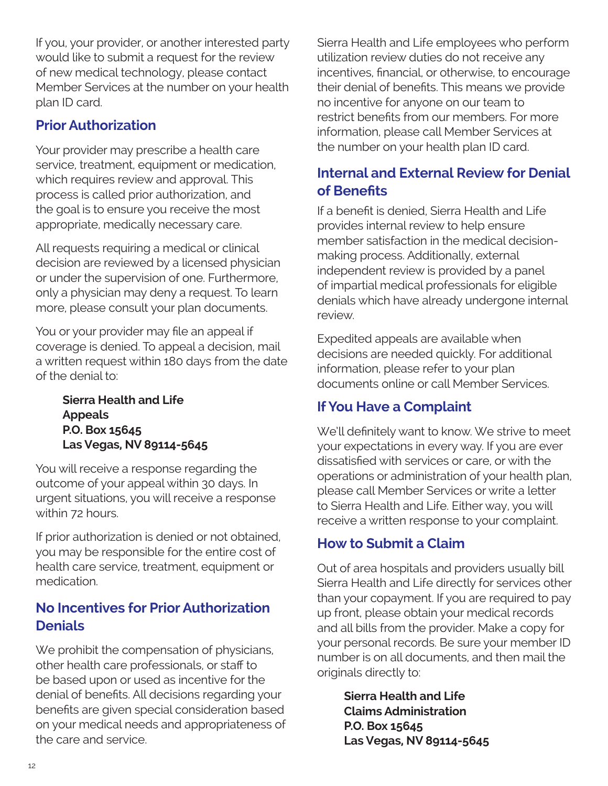<span id="page-11-0"></span>If you, your provider, or another interested party would like to submit a request for the review of new medical technology, please contact Member Services at the number on your health plan ID card.

### **Prior Authorization**

Your provider may prescribe a health care service, treatment, equipment or medication, which requires review and approval. This process is called prior authorization, and the goal is to ensure you receive the most appropriate, medically necessary care.

All requests requiring a medical or clinical decision are reviewed by a licensed physician or under the supervision of one. Furthermore, only a physician may deny a request. To learn more, please consult your plan documents.

You or your provider may file an appeal if coverage is denied. To appeal a decision, mail a written request within 180 days from the date of the denial to:

> **Sierra Health and Life Appeals P.O. Box 15645 Las Vegas, NV 89114-5645**

You will receive a response regarding the outcome of your appeal within 30 days. In urgent situations, you will receive a response within 72 hours.

If prior authorization is denied or not obtained, you may be responsible for the entire cost of health care service, treatment, equipment or medication.

### **No Incentives for Prior Authorization Denials**

We prohibit the compensation of physicians, other health care professionals, or staff to be based upon or used as incentive for the denial of benefits. All decisions regarding your benefits are given special consideration based on your medical needs and appropriateness of the care and service.

Sierra Health and Life employees who perform utilization review duties do not receive any incentives, financial, or otherwise, to encourage their denial of benefits. This means we provide no incentive for anyone on our team to restrict benefits from our members. For more information, please call Member Services at the number on your health plan ID card.

## **Internal and External Review for Denial of Benefits**

If a benefit is denied, Sierra Health and Life provides internal review to help ensure member satisfaction in the medical decisionmaking process. Additionally, external independent review is provided by a panel of impartial medical professionals for eligible denials which have already undergone internal review.

Expedited appeals are available when decisions are needed quickly. For additional information, please refer to your plan documents online or call Member Services.

### **If You Have a Complaint**

We'll definitely want to know. We strive to meet your expectations in every way. If you are ever dissatisfied with services or care, or with the operations or administration of your health plan, please call Member Services or write a letter to Sierra Health and Life. Either way, you will receive a written response to your complaint.

### **How to Submit a Claim**

Out of area hospitals and providers usually bill Sierra Health and Life directly for services other than your copayment. If you are required to pay up front, please obtain your medical records and all bills from the provider. Make a copy for your personal records. Be sure your member ID number is on all documents, and then mail the originals directly to:

> **Sierra Health and Life Claims Administration P.O. Box 15645 Las Vegas, NV 89114-5645**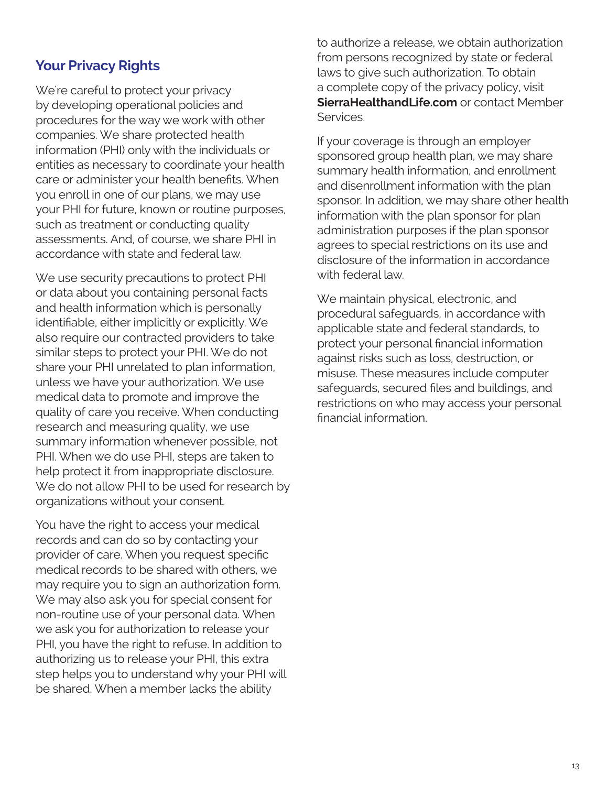### <span id="page-12-0"></span>**Your Privacy Rights**

We're careful to protect your privacy by developing operational policies and procedures for the way we work with other companies. We share protected health information (PHI) only with the individuals or entities as necessary to coordinate your health care or administer your health benefits. When you enroll in one of our plans, we may use your PHI for future, known or routine purposes, such as treatment or conducting quality assessments. And, of course, we share PHI in accordance with state and federal law.

We use security precautions to protect PHI or data about you containing personal facts and health information which is personally identifiable, either implicitly or explicitly. We also require our contracted providers to take similar steps to protect your PHI. We do not share your PHI unrelated to plan information, unless we have your authorization. We use medical data to promote and improve the quality of care you receive. When conducting research and measuring quality, we use summary information whenever possible, not PHI. When we do use PHI, steps are taken to help protect it from inappropriate disclosure. We do not allow PHI to be used for research by organizations without your consent.

You have the right to access your medical records and can do so by contacting your provider of care. When you request specific medical records to be shared with others, we may require you to sign an authorization form. We may also ask you for special consent for non-routine use of your personal data. When we ask you for authorization to release your PHI, you have the right to refuse. In addition to authorizing us to release your PHI, this extra step helps you to understand why your PHI will be shared. When a member lacks the ability

to authorize a release, we obtain authorization from persons recognized by state or federal laws to give such authorization. To obtain a complete copy of the privacy policy, visit **[SierraHealthandLife.com](https://www.SierraHealthandLife.com)** or contact Member Services.

If your coverage is through an employer sponsored group health plan, we may share summary health information, and enrollment and disenrollment information with the plan sponsor. In addition, we may share other health information with the plan sponsor for plan administration purposes if the plan sponsor agrees to special restrictions on its use and disclosure of the information in accordance with federal law.

We maintain physical, electronic, and procedural safeguards, in accordance with applicable state and federal standards, to protect your personal financial information against risks such as loss, destruction, or misuse. These measures include computer safeguards, secured files and buildings, and restrictions on who may access your personal financial information.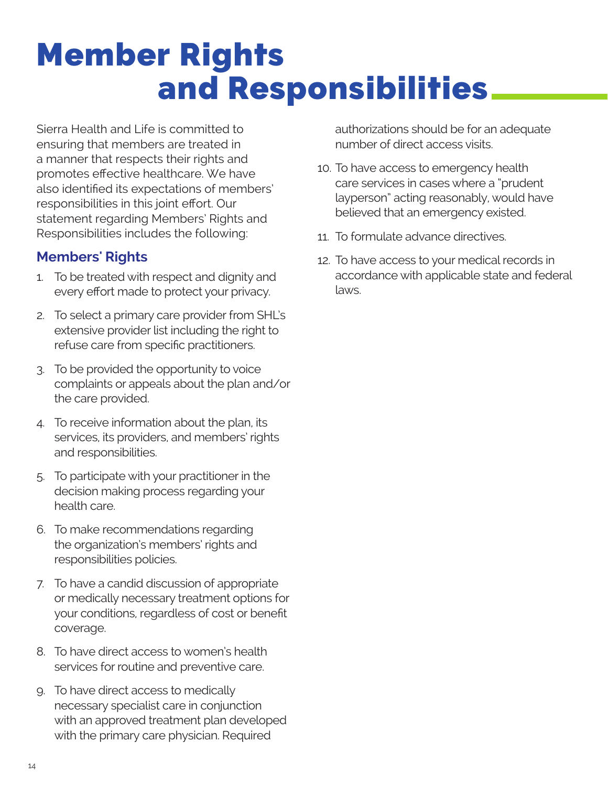## <span id="page-13-0"></span>Member Rights and Responsibilities

Sierra Health and Life is committed to ensuring that members are treated in a manner that respects their rights and promotes effective healthcare. We have also identified its expectations of members' responsibilities in this joint effort. Our statement regarding Members' Rights and Responsibilities includes the following:

### **Members' Rights**

- 1. To be treated with respect and dignity and every effort made to protect your privacy.
- 2. To select a primary care provider from SHL's extensive provider list including the right to refuse care from specific practitioners.
- 3. To be provided the opportunity to voice complaints or appeals about the plan and/or the care provided.
- 4. To receive information about the plan, its services, its providers, and members' rights and responsibilities.
- 5. To participate with your practitioner in the decision making process regarding your health care.
- 6. To make recommendations regarding the organization's members' rights and responsibilities policies.
- 7. To have a candid discussion of appropriate or medically necessary treatment options for your conditions, regardless of cost or benefit coverage.
- 8. To have direct access to women's health services for routine and preventive care.
- 9. To have direct access to medically necessary specialist care in conjunction with an approved treatment plan developed with the primary care physician. Required

authorizations should be for an adequate number of direct access visits.

- 10. To have access to emergency health care services in cases where a "prudent layperson" acting reasonably, would have believed that an emergency existed.
- 11. To formulate advance directives.
- 12. To have access to your medical records in accordance with applicable state and federal laws.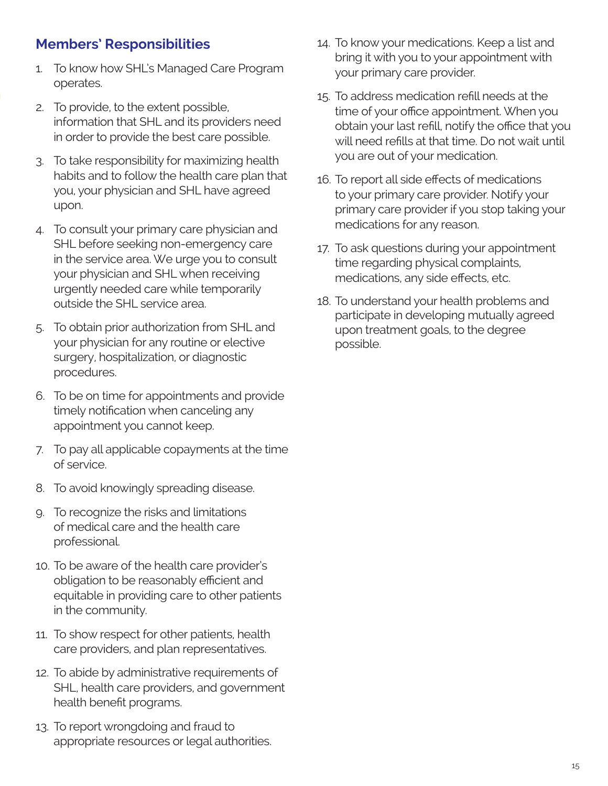### <span id="page-14-0"></span>**Members' Responsibilities**

- 1. To know how SHL's Managed Care Program operates.
- 2. To provide, to the extent possible, information that SHL and its providers need in order to provide the best care possible.
- 3. To take responsibility for maximizing health habits and to follow the health care plan that you, your physician and SHL have agreed upon.
- 4. To consult your primary care physician and SHL before seeking non-emergency care in the service area. We urge you to consult your physician and SHL when receiving urgently needed care while temporarily outside the SHL service area.
- 5. To obtain prior authorization from SHL and your physician for any routine or elective surgery, hospitalization, or diagnostic procedures.
- 6. To be on time for appointments and provide timely notification when canceling any appointment you cannot keep.
- 7. To pay all applicable copayments at the time of service.
- 8. To avoid knowingly spreading disease.
- 9. To recognize the risks and limitations of medical care and the health care professional.
- 10. To be aware of the health care provider's obligation to be reasonably efficient and equitable in providing care to other patients in the community.
- 11. To show respect for other patients, health care providers, and plan representatives.
- 12. To abide by administrative requirements of SHL, health care providers, and government health benefit programs.
- 13. To report wrongdoing and fraud to appropriate resources or legal authorities.
- 14. To know your medications. Keep a list and bring it with you to your appointment with your primary care provider.
- 15. To address medication refill needs at the time of your office appointment. When you obtain your last refill, notify the office that you will need refills at that time. Do not wait until you are out of your medication.
- 16. To report all side effects of medications to your primary care provider. Notify your primary care provider if you stop taking your medications for any reason.
- 17. To ask questions during your appointment time regarding physical complaints, medications, any side effects, etc.
- 18. To understand your health problems and participate in developing mutually agreed upon treatment goals, to the degree possible.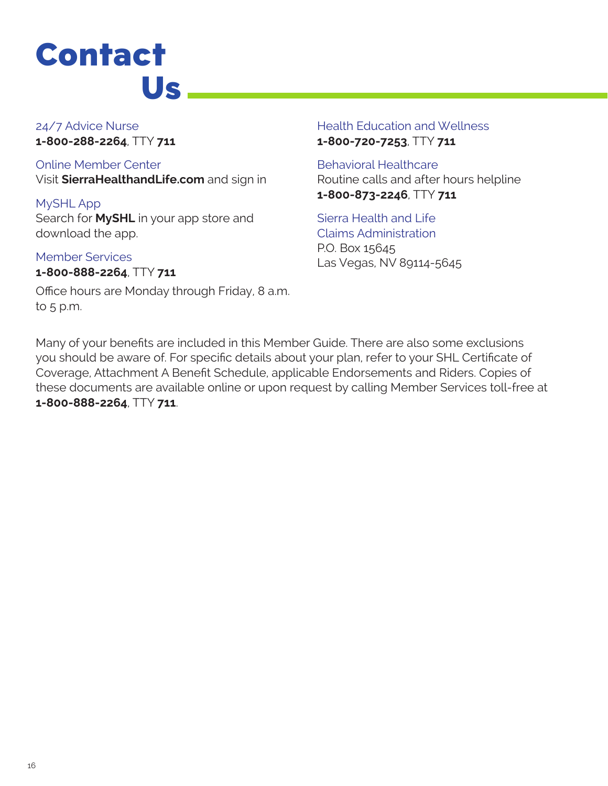## <span id="page-15-0"></span>**Contact** Us

24/7 Advice Nurse **1‑800‑288‑2264**, TTY **711** 

Online Member Center Visit **[SierraHealthandLife.com](https://www.SierraHealthandLife.com)** and sign in

MySHL App Search for **MySHL** in your app store and download the app.

Member Services **1‑800‑888‑2264**, TTY **711**

Office hours are Monday through Friday, 8 a.m. to 5 p.m.

Health Education and Wellness **1‑800‑720‑7253**, TTY **711** 

Behavioral Healthcare Routine calls and after hours helpline **1‑800‑873‑2246**, TTY **711** 

Sierra Health and Life Claims Administration P.O. Box 15645 Las Vegas, NV 89114-5645

Many of your benefits are included in this Member Guide. There are also some exclusions you should be aware of. For specific details about your plan, refer to your SHL Certificate of Coverage, Attachment A Benefit Schedule, applicable Endorsements and Riders. Copies of these documents are available online or upon request by calling Member Services toll-free at **1‑800‑888‑2264**, TTY **711**.